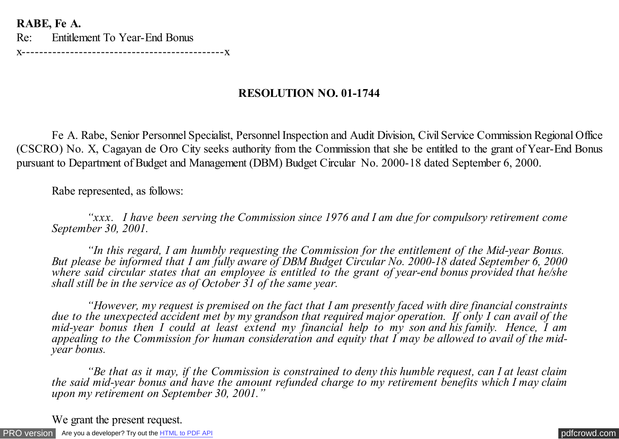**RABE, Fe A.**

Re: Entitlement To Year-End Bonus

x----------------------------------------------x

## **RESOLUTION NO. 01-1744**

 Fe A. Rabe, Senior Personnel Specialist, Personnel Inspection and Audit Division, Civil Service Commission Regional Office (CSCRO) No. X, Cagayan de Oro City seeks authority from the Commission that she be entitled to the grant of Year-End Bonus pursuant to Department of Budget and Management (DBM) Budget Circular No. 2000-18 dated September 6, 2000.

Rabe represented, as follows:

 *"xxx. I have been serving the Commission since 1976 and I am due for compulsory retirement come September 30, 2001.*

 *"In this regard, I am humbly requesting the Commission for the entitlement of the Mid-year Bonus. But please be informed that I am fully aware of DBM Budget Circular No. 2000-18 dated September 6, 2000 where said circular states that an employee is entitled to the grant of year-end bonus provided that he/she shall still be in the service as of October 31 of the same year.*

 *"However, my request is premised on the fact that I am presently faced with dire financial constraints due to the unexpected accident met by my grandson that required major operation. If only I can avail of the mid-year bonus then I could at least extend my financial help to my son and his family. Hence, I am appealing to the Commission for human consideration and equity that I may be allowed to avail of the midyear bonus.*

 *"Be that as it may, if the Commission is constrained to deny this humble request, can I at least claim the said mid-year bonus and have the amount refunded charge to my retirement benefits which I may claim upon my retirement on September 30, 2001."*

We grant the present request.

[PRO version](http://pdfcrowd.com/customize/) Are you a developer? Try out th[e HTML to PDF API](http://pdfcrowd.com/html-to-pdf-api/?ref=pdf) [pdfcrowd.com](http://pdfcrowd.com)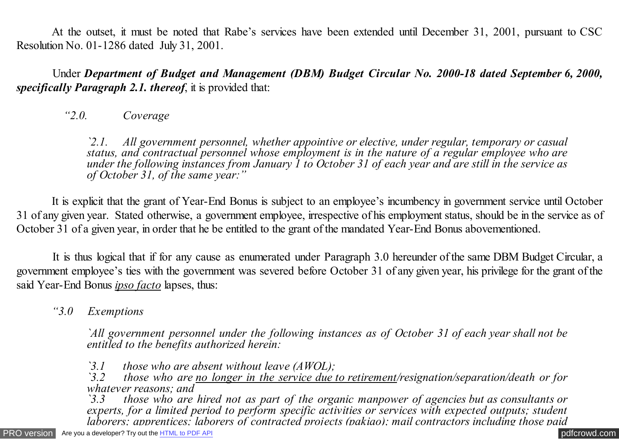At the outset, it must be noted that Rabe's services have been extended until December 31, 2001, pursuant to CSC Resolution No. 01-1286 dated July 31, 2001.

 Under *Department of Budget and Management (DBM) Budget Circular No. 2000-18 dated September 6, 2000, specifically Paragraph 2.1. thereof*, it is provided that:

*"2.0. Coverage*

*`2.1. All government personnel, whether appointive or elective, under regular, temporary or casual status, and contractual personnel whose employment is in the nature of a regular employee who are under the following instances from January 1 to October 31 of each year and are still in the service as of October 31, of the same year:"*

 It is explicit that the grant of Year-End Bonus is subject to an employee's incumbency in government service until October 31 of any given year. Stated otherwise, a government employee, irrespective of his employment status, should be in the service as of October 31 of a given year, in order that he be entitled to the grant of the mandated Year-End Bonus abovementioned.

 It is thus logical that if for any cause as enumerated under Paragraph 3.0 hereunder of the same DBM Budget Circular, a government employee's ties with the government was severed before October 31 of any given year, his privilege for the grant of the said Year-End Bonus *ipso facto* lapses, thus:

*"3.0 Exemptions*

*`All government personnel under the following instances as of October 31 of each year shall not be entitled to the benefits authorized herein:*

*`3.1 those who are absent without leave (AWOL);*

*`3.2 those who are no longer in the service due to retirement/resignation/separation/death or for whatever reasons; and*<br>3.3 *those who are* 

*`3.3 those who are hired not as part of the organic manpower of agencies but as consultants or experts, for a limited period to perform specific activities or services with expected outputs; student laborers; apprentices; laborers of contracted projects (pakiao); mail contractors including those paid*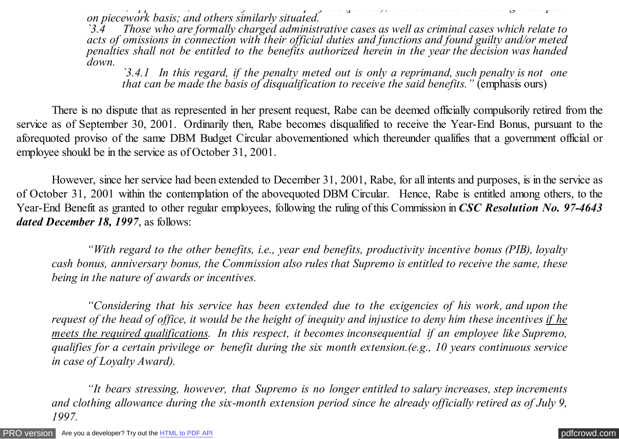*laborers; apprentices; laborers of contracted projects (pakiao); mail contractors including those paid on piecework basis; and others similarly situated.*

*`3.4 Those who are formally charged administrative cases as well as criminal cases which relate to acts of omissions in connection with their official duties and functions and found guilty and/or meted penalties shall not be entitled to the benefits authorized herein in the year the decision was handed down.*

*`3.4.1 In this regard, if the penalty meted out is only a reprimand, such penalty is not one that can be made the basis of disqualification to receive the said benefits.* " (emphasis ours)

 There is no dispute that as represented in her present request, Rabe can be deemed officially compulsorily retired from the service as of September 30, 2001. Ordinarily then, Rabe becomes disqualified to receive the Year-End Bonus, pursuant to the aforequoted proviso of the same DBM Budget Circular abovementioned which thereunder qualifies that a government official or employee should be in the service as of October 31, 2001.

However, since her service had been extended to December 31, 2001, Rabe, for all intents and purposes, is in the service as of October 31, 2001 within the contemplation of the abovequoted DBM Circular. Hence, Rabe is entitled among others, to the Year-End Benefit as granted to other regular employees, following the ruling of this Commission in *CSC Resolution No. 97-4643 dated December 18, 1997*, as follows:

*"With regard to the other benefits, i.e., year end benefits, productivity incentive bonus (PIB), loyalty cash bonus, anniversary bonus, the Commission also rules that Supremo is entitled to receive the same, these being in the nature of awards or incentives.*

*"Considering that his service has been extended due to the exigencies of his work, and upon the request of the head of office, it would be the height of inequity and injustice to deny him these incentives if he meets the required qualifications. In this respect, it becomes inconsequential if an employee like Supremo, qualifies for a certain privilege or benefit during the six month extension.(e.g., 10 years continuous service in case of Loyalty Award).*

*"It bears stressing, however, that Supremo is no longer entitled to salary increases, step increments and clothing allowance during the six-month extension period since he already officially retired as of July 9, 1997.*

[PRO version](http://pdfcrowd.com/customize/) Are you a developer? Try out th[e HTML to PDF API](http://pdfcrowd.com/html-to-pdf-api/?ref=pdf) contract the contract of the HTML to PDF API [pdfcrowd.com](http://pdfcrowd.com)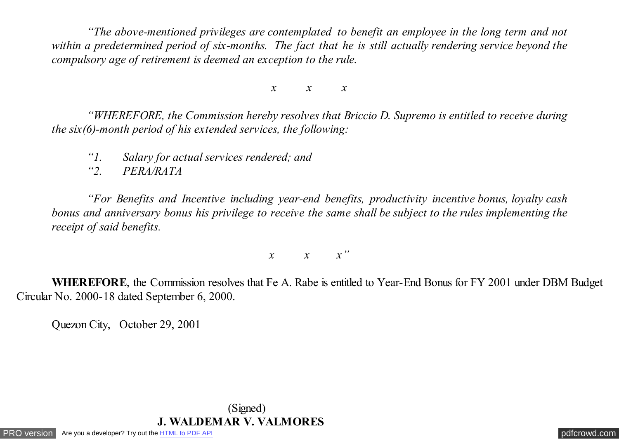*"The above-mentioned privileges are contemplated to benefit an employee in the long term and not within a predetermined period of six-months. The fact that he is still actually rendering service beyond the compulsory age of retirement is deemed an exception to the rule.*

*x x x*

*"WHEREFORE, the Commission hereby resolves that Briccio D. Supremo is entitled to receive during the six(6)-month period of his extended services, the following:*

*"1. Salary for actual services rendered; and*

*"2. PERA/RATA*

*"For Benefits and Incentive including year-end benefits, productivity incentive bonus, loyalty cash bonus and anniversary bonus his privilege to receive the same shall be subject to the rules implementing the receipt of said benefits.*

*x x x"*

 **WHEREFORE**, the Commission resolves that Fe A. Rabe is entitled to Year-End Bonus for FY 2001 under DBM Budget Circular No. 2000-18 dated September 6, 2000.

Quezon City, October 29, 2001